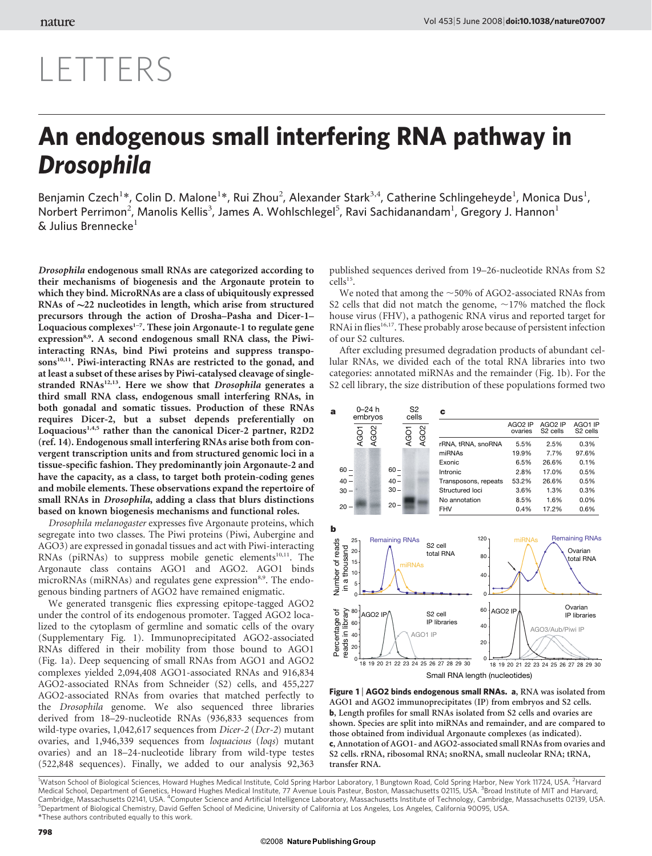# LETTERS

## An endogenous small interfering RNA pathway in Drosophila

Benjamin Czech<sup>1\*</sup>, Colin D. Malone<sup>1\*</sup>, Rui Zhou<sup>2</sup>, Alexander Stark<sup>3,4</sup>, Catherine Schlingeheyde<sup>1</sup>, Monica Dus<sup>1</sup>, Norbert Perrimon<sup>2</sup>, Manolis Kellis<sup>3</sup>, James A. Wohlschlegel<sup>5</sup>, Ravi Sachidanandam<sup>1</sup>, Gregory J. Hannon<sup>1</sup>  $\&$  Julius Brennecke<sup>1</sup>

Drosophila endogenous small RNAs are categorized according to their mechanisms of biogenesis and the Argonaute protein to which they bind. MicroRNAs are a class of ubiquitously expressed RNAs of  $\sim$ 22 nucleotides in length, which arise from structured precursors through the action of Drosha–Pasha and Dicer-1– Loquacious complexes $1-7$ . These join Argonaute-1 to regulate gene expression<sup>8,9</sup>. A second endogenous small RNA class, the Piwiinteracting RNAs, bind Piwi proteins and suppress transposons $^{10,11}$ . Piwi-interacting RNAs are restricted to the gonad, and at least a subset of these arises by Piwi-catalysed cleavage of singlestranded  $RNAs<sup>12,13</sup>$ . Here we show that Drosophila generates a third small RNA class, endogenous small interfering RNAs, in both gonadal and somatic tissues. Production of these RNAs requires Dicer-2, but a subset depends preferentially on Loquacious<sup>1,4,5</sup> rather than the canonical Dicer-2 partner, R2D2 (ref. 14). Endogenous small interfering RNAs arise both from convergent transcription units and from structured genomic loci in a tissue-specific fashion. They predominantly join Argonaute-2 and have the capacity, as a class, to target both protein-coding genes and mobile elements. These observations expand the repertoire of small RNAs in Drosophila, adding a class that blurs distinctions based on known biogenesis mechanisms and functional roles.

Drosophila melanogaster expresses five Argonaute proteins, which segregate into two classes. The Piwi proteins (Piwi, Aubergine and AGO3) are expressed in gonadal tissues and act with Piwi-interacting RNAs (piRNAs) to suppress mobile genetic elements<sup>10,11</sup>. The Argonaute class contains AGO1 and AGO2. AGO1 binds microRNAs (miRNAs) and regulates gene expression<sup>8,9</sup>. The endogenous binding partners of AGO2 have remained enigmatic.

We generated transgenic flies expressing epitope-tagged AGO2 under the control of its endogenous promoter. Tagged AGO2 localized to the cytoplasm of germline and somatic cells of the ovary (Supplementary Fig. 1). Immunoprecipitated AGO2-associated RNAs differed in their mobility from those bound to AGO1 (Fig. 1a). Deep sequencing of small RNAs from AGO1 and AGO2 complexes yielded 2,094,408 AGO1-associated RNAs and 916,834 AGO2-associated RNAs from Schneider (S2) cells, and 455,227 AGO2-associated RNAs from ovaries that matched perfectly to the Drosophila genome. We also sequenced three libraries derived from 18–29-nucleotide RNAs (936,833 sequences from wild-type ovaries, 1,042,617 sequences from Dicer-2 (Dcr-2) mutant ovaries, and 1,946,339 sequences from loquacious (loqs) mutant ovaries) and an 18–24-nucleotide library from wild-type testes (522,848 sequences). Finally, we added to our analysis 92,363 published sequences derived from 19–26-nucleotide RNAs from S2  $\text{cells}^{15}$ .

We noted that among the  $\sim$  50% of AGO2-associated RNAs from S2 cells that did not match the genome,  $\sim$ 17% matched the flock house virus (FHV), a pathogenic RNA virus and reported target for RNAi in flies<sup>16,17</sup>. These probably arose because of persistent infection of our S2 cultures.

After excluding presumed degradation products of abundant cellular RNAs, we divided each of the total RNA libraries into two categories: annotated miRNAs and the remainder (Fig. 1b). For the S2 cell library, the size distribution of these populations formed two



Figure 1 | AGO2 binds endogenous small RNAs. a, RNA was isolated from AGO1 and AGO2 immunoprecipitates (IP) from embryos and S2 cells. b, Length profiles for small RNAs isolated from S2 cells and ovaries are shown. Species are split into miRNAs and remainder, and are compared to those obtained from individual Argonaute complexes (as indicated). c, Annotation of AGO1- and AGO2-associated small RNAs from ovaries and S2 cells. rRNA, ribosomal RNA; snoRNA, small nucleolar RNA; tRNA, transfer RNA.

*\**These authors contributed equally to this work. <sup>1</sup>Watson School of Biological Sciences, Howard Hughes Medical Institute, Cold Spring Harbor Laboratory, 1 Bungtown Road, Cold Spring Harbor, New York 11724, USA. <sup>2</sup> Harvard Medical School, Department of Genetics, Howard Hughes Medical Institute, 77 Avenue Louis Pasteur, Boston, Massachusetts 02115, USA. <sup>3</sup> Broad Institute of MIT and Harvard, Cambridge, Massachusetts 02141, USA. <sup>4</sup>Computer Science and Artificial Intelligence Laboratory, Massachusetts Institute of Technology, Cambridge, Massachusetts 02139, USA.<br><sup>5</sup>Denartment of Biological Chemistry, David Geff Department of Biological Chemistry, David Geffen School of Medicine, University of California at Los Angeles, Los Angeles, California 90095, USA.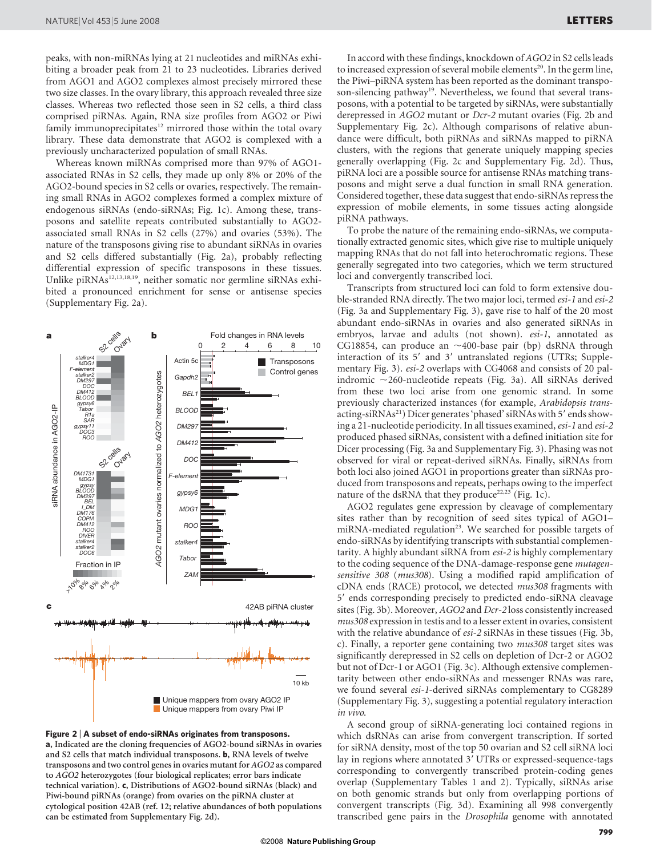peaks, with non-miRNAs lying at 21 nucleotides and miRNAs exhibiting a broader peak from 21 to 23 nucleotides. Libraries derived from AGO1 and AGO2 complexes almost precisely mirrored these two size classes. In the ovary library, this approach revealed three size classes. Whereas two reflected those seen in S2 cells, a third class comprised piRNAs. Again, RNA size profiles from AGO2 or Piwi family immunoprecipitates<sup>12</sup> mirrored those within the total ovary library. These data demonstrate that AGO2 is complexed with a previously uncharacterized population of small RNAs.

Whereas known miRNAs comprised more than 97% of AGO1 associated RNAs in S2 cells, they made up only 8% or 20% of the AGO2-bound species in S2 cells or ovaries, respectively. The remaining small RNAs in AGO2 complexes formed a complex mixture of endogenous siRNAs (endo-siRNAs; Fig. 1c). Among these, transposons and satellite repeats contributed substantially to AGO2 associated small RNAs in S2 cells (27%) and ovaries (53%). The nature of the transposons giving rise to abundant siRNAs in ovaries and S2 cells differed substantially (Fig. 2a), probably reflecting differential expression of specific transposons in these tissues. Unlike piRNAs<sup>12,13,18,19</sup>, neither somatic nor germline siRNAs exhibited a pronounced enrichment for sense or antisense species (Supplementary Fig. 2a).



Figure 2 <sup>|</sup> A subset of endo-siRNAs originates from transposons. a, Indicated are the cloning frequencies of AGO2-bound siRNAs in ovaries and S2 cells that match individual transposons. b, RNA levels of twelve transposons and two control genes in ovaries mutant for AGO2 as compared to AGO2 heterozygotes (four biological replicates; error bars indicate technical variation). c, Distributions of AGO2-bound siRNAs (black) and Piwi-bound piRNAs (orange) from ovaries on the piRNA cluster at cytological position 42AB (ref. 12; relative abundances of both populations can be estimated from Supplementary Fig. 2d).

In accord with these findings, knockdown of AGO2 in S2 cells leads to increased expression of several mobile elements<sup>20</sup>. In the germ line, the Piwi–piRNA system has been reported as the dominant transposon-silencing pathway<sup>19</sup>. Nevertheless, we found that several transposons, with a potential to be targeted by siRNAs, were substantially derepressed in AGO2 mutant or Dcr-2 mutant ovaries (Fig. 2b and Supplementary Fig. 2c). Although comparisons of relative abundance were difficult, both piRNAs and siRNAs mapped to piRNA clusters, with the regions that generate uniquely mapping species generally overlapping (Fig. 2c and Supplementary Fig. 2d). Thus, piRNA loci are a possible source for antisense RNAs matching transposons and might serve a dual function in small RNA generation. Considered together, these data suggest that endo-siRNAs repress the expression of mobile elements, in some tissues acting alongside piRNA pathways.

To probe the nature of the remaining endo-siRNAs, we computationally extracted genomic sites, which give rise to multiple uniquely mapping RNAs that do not fall into heterochromatic regions. These generally segregated into two categories, which we term structured loci and convergently transcribed loci.

Transcripts from structured loci can fold to form extensive double-stranded RNA directly. The two major loci, termed esi-1 and esi-2 (Fig. 3a and Supplementary Fig. 3), gave rise to half of the 20 most abundant endo-siRNAs in ovaries and also generated siRNAs in embryos, larvae and adults (not shown). esi-1, annotated as CG18854, can produce an  $\sim$ 400-base pair (bp) dsRNA through interaction of its 5' and 3' untranslated regions (UTRs; Supplementary Fig. 3). esi-2 overlaps with CG4068 and consists of 20 palindromic  $\sim$ 260-nucleotide repeats (Fig. 3a). All siRNAs derived from these two loci arise from one genomic strand. In some previously characterized instances (for example, Arabidopsis transacting-siRNAs<sup>21</sup>) Dicer generates 'phased' siRNAs with 5' ends showing a 21-nucleotide periodicity. In all tissues examined, esi-1 and esi-2 produced phased siRNAs, consistent with a defined initiation site for Dicer processing (Fig. 3a and Supplementary Fig. 3). Phasing was not observed for viral or repeat-derived siRNAs. Finally, siRNAs from both loci also joined AGO1 in proportions greater than siRNAs produced from transposons and repeats, perhaps owing to the imperfect nature of the dsRNA that they produce<sup>22,23</sup> (Fig. 1c).

AGO2 regulates gene expression by cleavage of complementary sites rather than by recognition of seed sites typical of AGO1– miRNA-mediated regulation<sup>23</sup>. We searched for possible targets of endo-siRNAs by identifying transcripts with substantial complementarity. A highly abundant siRNA from esi-2 is highly complementary to the coding sequence of the DNA-damage-response gene mutagensensitive 308 (mus308). Using a modified rapid amplification of cDNA ends (RACE) protocol, we detected mus308 fragments with 5' ends corresponding precisely to predicted endo-siRNA cleavage sites (Fig. 3b). Moreover, AGO2 and Dcr-2 loss consistently increased mus308 expression in testis and to a lesser extent in ovaries, consistent with the relative abundance of *esi-2* siRNAs in these tissues (Fig. 3b, c). Finally, a reporter gene containing two mus308 target sites was significantly derepressed in S2 cells on depletion of Dcr-2 or AGO2 but not of Dcr-1 or AGO1 (Fig. 3c). Although extensive complementarity between other endo-siRNAs and messenger RNAs was rare, we found several esi-1-derived siRNAs complementary to CG8289 (Supplementary Fig. 3), suggesting a potential regulatory interaction in vivo.

A second group of siRNA-generating loci contained regions in which dsRNAs can arise from convergent transcription. If sorted for siRNA density, most of the top 50 ovarian and S2 cell siRNA loci lay in regions where annotated 3' UTRs or expressed-sequence-tags corresponding to convergently transcribed protein-coding genes overlap (Supplementary Tables 1 and 2). Typically, siRNAs arise on both genomic strands but only from overlapping portions of convergent transcripts (Fig. 3d). Examining all 998 convergently transcribed gene pairs in the Drosophila genome with annotated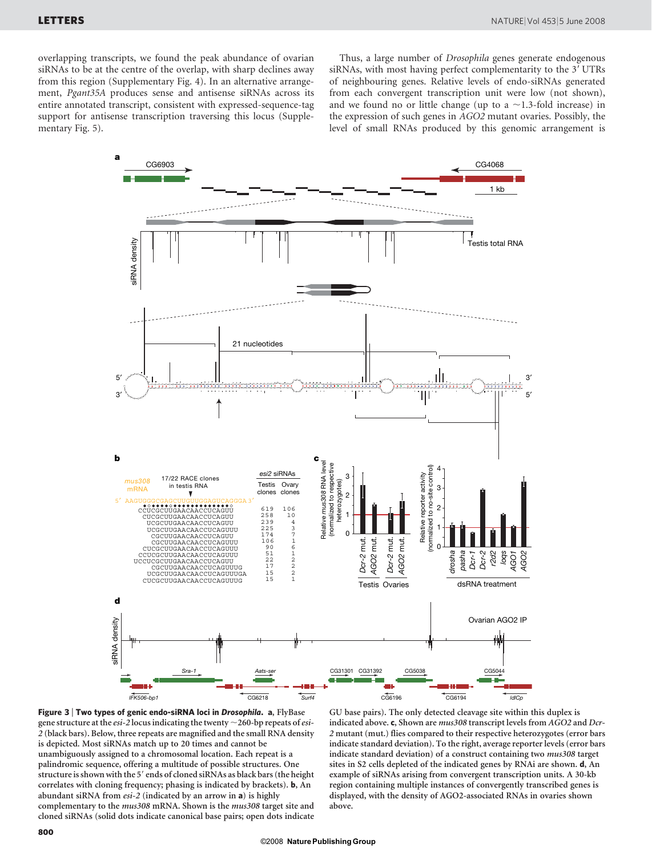overlapping transcripts, we found the peak abundance of ovarian siRNAs to be at the centre of the overlap, with sharp declines away from this region (Supplementary Fig. 4). In an alternative arrangement, Pgant35A produces sense and antisense siRNAs across its entire annotated transcript, consistent with expressed-sequence-tag support for antisense transcription traversing this locus (Supplementary Fig. 5).

Thus, a large number of Drosophila genes generate endogenous siRNAs, with most having perfect complementarity to the 3' UTRs of neighbouring genes. Relative levels of endo-siRNAs generated from each convergent transcription unit were low (not shown), and we found no or little change (up to a  $\sim$ 1.3-fold increase) in the expression of such genes in AGO2 mutant ovaries. Possibly, the level of small RNAs produced by this genomic arrangement is





GU base pairs). The only detected cleavage site within this duplex is indicated above. c, Shown are mus308 transcript levels from AGO2 and Dcr-2 mutant (mut.) flies compared to their respective heterozygotes (error bars indicate standard deviation). To the right, average reporter levels (error bars indicate standard deviation) of a construct containing two mus308 target sites in S2 cells depleted of the indicated genes by RNAi are shown. d, An example of siRNAs arising from convergent transcription units. A 30-kb region containing multiple instances of convergently transcribed genes is displayed, with the density of AGO2-associated RNAs in ovaries shown above.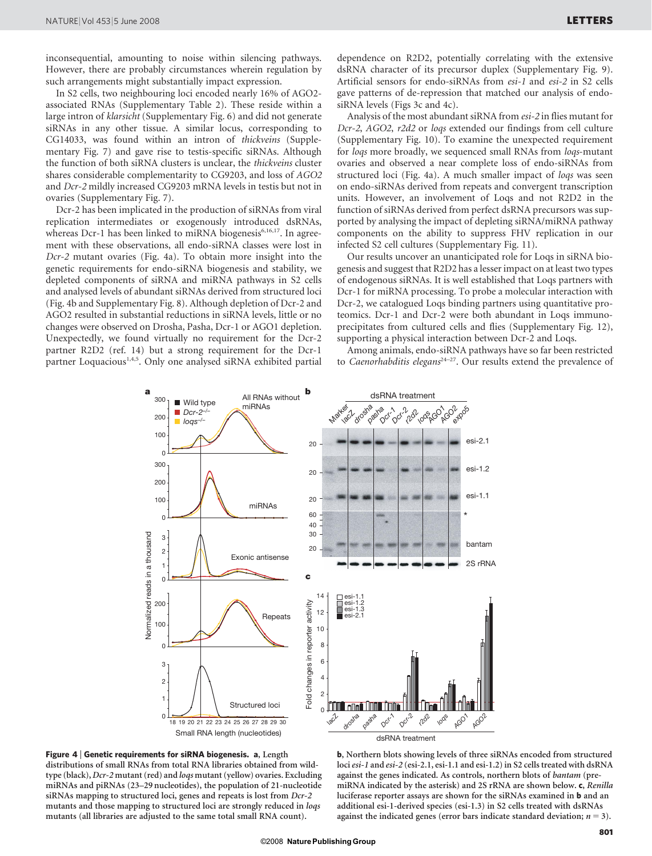inconsequential, amounting to noise within silencing pathways. However, there are probably circumstances wherein regulation by such arrangements might substantially impact expression.

In S2 cells, two neighbouring loci encoded nearly 16% of AGO2 associated RNAs (Supplementary Table 2). These reside within a large intron of klarsicht (Supplementary Fig. 6) and did not generate siRNAs in any other tissue. A similar locus, corresponding to CG14033, was found within an intron of thickveins (Supplementary Fig. 7) and gave rise to testis-specific siRNAs. Although the function of both siRNA clusters is unclear, the thickveins cluster shares considerable complementarity to CG9203, and loss of AGO2 and Dcr-2 mildly increased CG9203 mRNA levels in testis but not in ovaries (Supplementary Fig. 7).

Dcr-2 has been implicated in the production of siRNAs from viral replication intermediates or exogenously introduced dsRNAs, whereas Dcr-1 has been linked to miRNA biogenesis<sup>6,16,17</sup>. In agreement with these observations, all endo-siRNA classes were lost in Dcr-2 mutant ovaries (Fig. 4a). To obtain more insight into the genetic requirements for endo-siRNA biogenesis and stability, we depleted components of siRNA and miRNA pathways in S2 cells and analysed levels of abundant siRNAs derived from structured loci (Fig. 4b and Supplementary Fig. 8). Although depletion of Dcr-2 and AGO2 resulted in substantial reductions in siRNA levels, little or no changes were observed on Drosha, Pasha, Dcr-1 or AGO1 depletion. Unexpectedly, we found virtually no requirement for the Dcr-2 partner R2D2 (ref. 14) but a strong requirement for the Dcr-1 partner Loquacious<sup>1,4,5</sup>. Only one analysed siRNA exhibited partial

dependence on R2D2, potentially correlating with the extensive dsRNA character of its precursor duplex (Supplementary Fig. 9). Artificial sensors for endo-siRNAs from esi-1 and esi-2 in S2 cells gave patterns of de-repression that matched our analysis of endosiRNA levels (Figs 3c and 4c).

Analysis of the most abundant siRNA from esi-2 in flies mutant for Dcr-2, AGO2, r2d2 or loqs extended our findings from cell culture (Supplementary Fig. 10). To examine the unexpected requirement for loqs more broadly, we sequenced small RNAs from loqs-mutant ovaries and observed a near complete loss of endo-siRNAs from structured loci (Fig. 4a). A much smaller impact of loqs was seen on endo-siRNAs derived from repeats and convergent transcription units. However, an involvement of Loqs and not R2D2 in the function of siRNAs derived from perfect dsRNA precursors was supported by analysing the impact of depleting siRNA/miRNA pathway components on the ability to suppress FHV replication in our infected S2 cell cultures (Supplementary Fig. 11).

Our results uncover an unanticipated role for Loqs in siRNA biogenesis and suggest that R2D2 has a lesser impact on at least two types of endogenous siRNAs. It is well established that Loqs partners with Dcr-1 for miRNA processing. To probe a molecular interaction with Dcr-2, we catalogued Loqs binding partners using quantitative proteomics. Dcr-1 and Dcr-2 were both abundant in Loqs immunoprecipitates from cultured cells and flies (Supplementary Fig. 12), supporting a physical interaction between Dcr-2 and Loqs.

Among animals, endo-siRNA pathways have so far been restricted to Caenorhabditis elegans<sup>24-27</sup>. Our results extend the prevalence of





b, Northern blots showing levels of three siRNAs encoded from structured loci esi-1 and esi-2 (esi-2.1, esi-1.1 and esi-1.2) in S2 cells treated with dsRNA against the genes indicated. As controls, northern blots of bantam (premiRNA indicated by the asterisk) and 2S rRNA are shown below. c, Renilla luciferase reporter assays are shown for the siRNAs examined in b and an additional esi-1-derived species (esi-1.3) in S2 cells treated with dsRNAs against the indicated genes (error bars indicate standard deviation;  $n = 3$ ).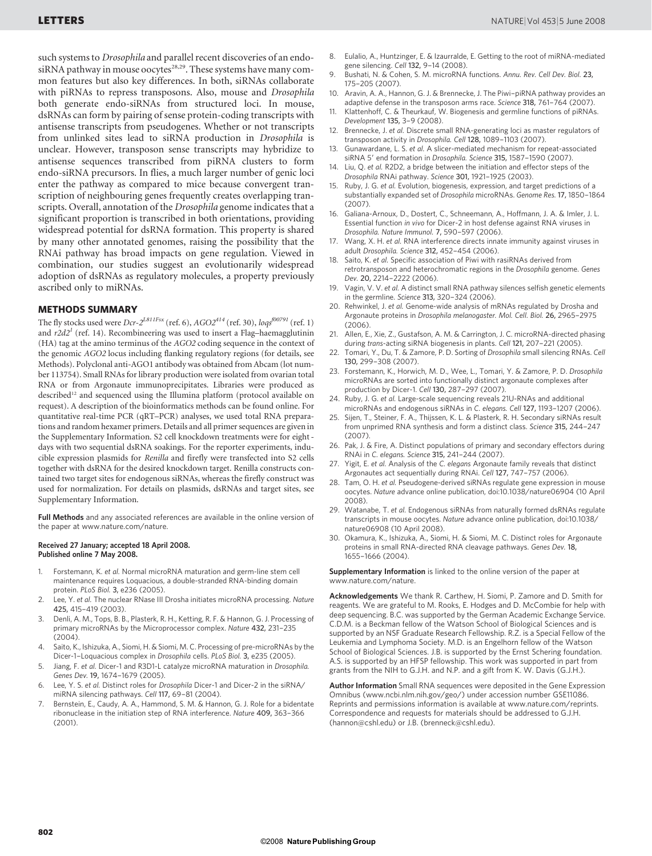such systems to Drosophila and parallel recent discoveries of an endosiRNA pathway in mouse oocytes<sup>28,29</sup>. These systems have many common features but also key differences. In both, siRNAs collaborate with piRNAs to repress transposons. Also, mouse and Drosophila both generate endo-siRNAs from structured loci. In mouse, dsRNAs can form by pairing of sense protein-coding transcripts with antisense transcripts from pseudogenes. Whether or not transcripts from unlinked sites lead to siRNA production in Drosophila is unclear. However, transposon sense transcripts may hybridize to antisense sequences transcribed from piRNA clusters to form endo-siRNA precursors. In flies, a much larger number of genic loci enter the pathway as compared to mice because convergent transcription of neighbouring genes frequently creates overlapping transcripts. Overall, annotation of the Drosophila genome indicates that a significant proportion is transcribed in both orientations, providing widespread potential for dsRNA formation. This property is shared by many other annotated genomes, raising the possibility that the RNAi pathway has broad impacts on gene regulation. Viewed in combination, our studies suggest an evolutionarily widespread adoption of dsRNAs as regulatory molecules, a property previously ascribed only to miRNAs.

#### METHODS SUMMARY

The fly stocks used were  $Dcr-2^{LSIIFx}$  (ref. 6),  $AGO2^{414}$  (ref. 30),  $log5^{f00791}$  (ref. 1) and  $r2d2<sup>1</sup>$  (ref. 14). Recombineering was used to insert a Flag–haemagglutinin (HA) tag at the amino terminus of the AGO2 coding sequence in the context of the genomic AGO2 locus including flanking regulatory regions (for details, see Methods). Polyclonal anti-AGO1 antibody was obtained from Abcam (lot number 113754). Small RNAs for library production were isolated from ovarian total RNA or from Argonaute immunoprecipitates. Libraries were produced as described<sup>12</sup> and sequenced using the Illumina platform (protocol available on request). A description of the bioinformatics methods can be found online. For quantitative real-time PCR (qRT–PCR) analyses, we used total RNA preparations and random hexamer primers. Details and all primer sequences are given in the Supplementary Information. S2 cell knockdown treatments were for eight days with two sequential dsRNA soakings. For the reporter experiments, inducible expression plasmids for Renilla and firefly were transfected into S2 cells together with dsRNA for the desired knockdown target. Renilla constructs contained two target sites for endogenous siRNAs, whereas the firefly construct was used for normalization. For details on plasmids, dsRNAs and target sites, see Supplementary Information.

Full Methods and any associated references are available in the online version of the paper at<www.nature.com/nature>.

#### Received 27 January; accepted 18 April 2008. Published online 7 May 2008.

- 1. Forstemann, K. et al. Normal microRNA maturation and germ-line stem cell maintenance requires Loquacious, a double-stranded RNA-binding domain protein. PLoS Biol. 3, e236 (2005).
- 2. Lee, Y. et al. The nuclear RNase III Drosha initiates microRNA processing. Nature 425, 415–419 (2003).
- Denli, A. M., Tops, B. B., Plasterk, R. H., Ketting, R. F. & Hannon, G. J. Processing of primary microRNAs by the Microprocessor complex. Nature 432, 231–235 (2004).
- Saito, K., Ishizuka, A., Siomi, H. & Siomi, M. C. Processing of pre-microRNAs by the Dicer-1–Loquacious complex in Drosophila cells. PLoS Biol. 3, e235 (2005).
- Jiang, F. et al. Dicer-1 and R3D1-L catalyze microRNA maturation in Drosophila. Genes Dev. 19, 1674–1679 (2005).
- 6. Lee, Y. S. et al. Distinct roles for Drosophila Dicer-1 and Dicer-2 in the siRNA/ miRNA silencing pathways. Cell 117, 69–81 (2004).
- Bernstein, E., Caudy, A. A., Hammond, S. M. & Hannon, G. J. Role for a bidentate ribonuclease in the initiation step of RNA interference. Nature 409, 363–366  $(2001)$
- 8. Eulalio, A., Huntzinger, E. & Izaurralde, E. Getting to the root of miRNA-mediated gene silencing. Cell 132, 9–14 (2008).
- Bushati, N. & Cohen, S. M. microRNA functions. Annu. Rev. Cell Dev. Biol. 23, 175–205 (2007).
- 10. Aravin, A. A., Hannon, G. J. & Brennecke, J. The Piwi–piRNA pathway provides an adaptive defense in the transposon arms race. Science 318, 761–764 (2007).
- Klattenhoff, C. & Theurkauf, W. Biogenesis and germline functions of piRNAs. Development 135, 3–9 (2008).
- Brennecke, J. et al. Discrete small RNA-generating loci as master regulators of transposon activity in Drosophila. Cell 128, 1089–1103 (2007).
- 13. Gunawardane, L. S. et al. A slicer-mediated mechanism for repeat-associated siRNA 5' end formation in Drosophila. Science 315, 1587-1590 (2007).
- 14. Liu, Q. et al. R2D2, a bridge between the initiation and effector steps of the Drosophila RNAi pathway. Science 301, 1921–1925 (2003).
- 15. Ruby, J. G. et al. Evolution, biogenesis, expression, and target predictions of a substantially expanded set of Drosophila microRNAs. Genome Res. 17, 1850–1864 (2007).
- 16. Galiana-Arnoux, D., Dostert, C., Schneemann, A., Hoffmann, J. A. & Imler, J. L. Essential function in vivo for Dicer-2 in host defense against RNA viruses in Drosophila. Nature Immunol. 7, 590–597 (2006).
- 17. Wang, X. H. et al. RNA interference directs innate immunity against viruses in adult Drosophila. Science 312, 452–454 (2006).
- Saito, K. et al. Specific association of Piwi with rasiRNAs derived from retrotransposon and heterochromatic regions in the Drosophila genome. Genes Dev. 20, 2214–2222 (2006).
- 19. Vagin, V. V. et al. A distinct small RNA pathway silences selfish genetic elements in the germline. Science 313, 320–324 (2006).
- 20. Rehwinkel, J. et al. Genome-wide analysis of mRNAs regulated by Drosha and Argonaute proteins in Drosophila melanogaster. Mol. Cell. Biol. 26, 2965–2975 (2006).
- 21. Allen, E., Xie, Z., Gustafson, A. M. & Carrington, J. C. microRNA-directed phasing during trans-acting siRNA biogenesis in plants. Cell 121, 207-221 (2005).
- 22. Tomari, Y., Du, T. & Zamore, P. D. Sorting of Drosophila small silencing RNAs. Cell 130, 299–308 (2007).
- 23. Forstemann, K., Horwich, M. D., Wee, L., Tomari, Y. & Zamore, P. D. Drosophila microRNAs are sorted into functionally distinct argonaute complexes after production by Dicer-1. Cell 130, 287–297 (2007).
- 24. Ruby, J. G. et al. Large-scale sequencing reveals 21U-RNAs and additional microRNAs and endogenous siRNAs in C. elegans. Cell 127, 1193–1207 (2006).
- 25. Sijen, T., Steiner, F. A., Thijssen, K. L. & Plasterk, R. H. Secondary siRNAs result from unprimed RNA synthesis and form a distinct class. Science 315, 244–247 (2007).
- 26. Pak, J. & Fire, A. Distinct populations of primary and secondary effectors during RNAi in C. elegans. Science 315, 241–244 (2007).
- 27. Yigit, E. et al. Analysis of the C. elegans Argonaute family reveals that distinct Argonautes act sequentially during RNAi. Cell 127, 747-757 (2006).
- 28. Tam, O. H. et al. Pseudogene-derived siRNAs regulate gene expression in mouse oocytes. Nature advance online publication, doi:10.1038/nature06904 (10 April 2008).
- 29. Watanabe, T. et al. Endogenous siRNAs from naturally formed dsRNAs regulate transcripts in mouse oocytes. Nature advance online publication, doi:10.1038/ nature06908 (10 April 2008).
- 30. Okamura, K., Ishizuka, A., Siomi, H. & Siomi, M. C. Distinct roles for Argonaute proteins in small RNA-directed RNA cleavage pathways. Genes Dev. 18, 1655–1666 (2004).

Supplementary Information is linked to the online version of the paper at <www.nature.com/nature>.

Acknowledgements We thank R. Carthew, H. Siomi, P. Zamore and D. Smith for reagents. We are grateful to M. Rooks, E. Hodges and D. McCombie for help with deep sequencing. B.C. was supported by the German Academic Exchange Service. C.D.M. is a Beckman fellow of the Watson School of Biological Sciences and is supported by an NSF Graduate Research Fellowship. R.Z. is a Special Fellow of the Leukemia and Lymphoma Society. M.D. is an Engelhorn fellow of the Watson School of Biological Sciences. J.B. is supported by the Ernst Schering foundation. A.S. is supported by an HFSP fellowship. This work was supported in part from grants from the NIH to G.J.H. and N.P. and a gift from K. W. Davis (G.J.H.).

Author Information Small RNA sequences were deposited in the Gene Expression Omnibus [\(www.ncbi.nlm.nih.gov/geo/\)](www.ncbi.nlm.nih.gov/geo) under accession number GSE11086. Reprints and permissions information is available at<www.nature.com/reprints>. Correspondence and requests for materials should be addressed to G.J.H. [\(hannon@cshl.edu\)](mailto:hannon@cshl.edu) or J.B. [\(brenneck@cshl.edu\).](mailto:brenneck@cshl.edu)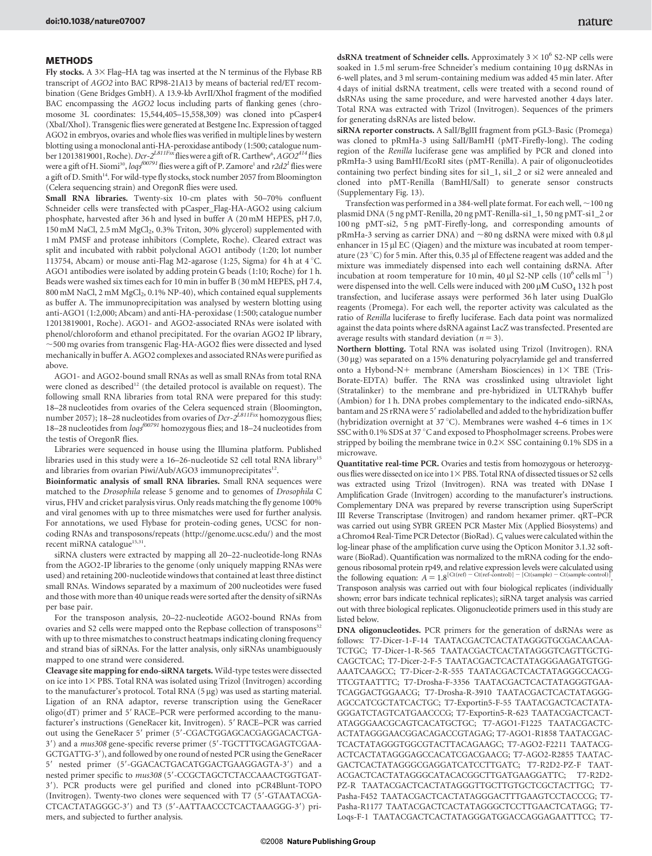### **METHODS**

Fly stocks. A  $3\times$  Flag–HA tag was inserted at the N terminus of the Flybase RB transcript of AGO2 into BAC RP98-21A13 by means of bacterial red/ET recombination (Gene Bridges GmbH). A 13.9-kb AvrII/XhoI fragment of the modified BAC encompassing the AGO2 locus including parts of flanking genes (chromosome 3L coordinates: 15,544,405–15,558,309) was cloned into pCasper4 (XbaI/XhoI). Transgenic flies were generated at Bestgene Inc. Expression of tagged AGO2 in embryos, ovaries and whole flies was verified in multiple lines by western blotting using a monoclonal anti-HA-peroxidase antibody (1:500; catalogue number 12013819001, Roche).  $Dcr$ -2 $^{LS11Fex}$ flies were a gift of R. Carthew $^6$ , AGO2 $^{414}$ flies were a gift of H. Siomi<sup>30</sup>, loqs<sup>f00791</sup> flies were a gift of P. Zamore<sup>1</sup> and  $r2d2$ <sup>1</sup> flies were a gift of D. Smith<sup>14</sup>. For wild-type fly stocks, stock number 2057 from Bloomington (Celera sequencing strain) and OregonR flies were used.

Small RNA libraries. Twenty-six 10-cm plates with 50–70% confluent Schneider cells were transfected with pCasper\_Flag-HA-AGO2 using calcium phosphate, harvested after 36 h and lysed in buffer A (20 mM HEPES, pH 7.0, 150 mM NaCl, 2.5 mM MgCl<sub>2</sub>, 0.3% Triton, 30% glycerol) supplemented with 1 mM PMSF and protease inhibitors (Complete, Roche). Cleared extract was split and incubated with rabbit polyclonal AGO1 antibody (1:20; lot number 113754, Abcam) or mouse anti-Flag M2-agarose (1:25, Sigma) for 4 h at  $4^{\circ}$ C. AGO1 antibodies were isolated by adding protein G beads (1:10; Roche) for 1 h. Beads were washed six times each for 10 min in buffer B (30 mM HEPES, pH 7.4, 800 mM NaCl, 2 mM MgCl<sub>2</sub>, 0.1% NP-40), which contained equal supplements as buffer A. The immunoprecipitation was analysed by western blotting using anti-AGO1 (1:2,000; Abcam) and anti-HA-peroxidase (1:500; catalogue number 12013819001, Roche). AGO1- and AGO2-associated RNAs were isolated with phenol/chloroform and ethanol precipitated. For the ovarian AGO2 IP library,  $\sim$ 500 mg ovaries from transgenic Flag-HA-AGO2 flies were dissected and lysed mechanically in buffer A. AGO2 complexes and associated RNAs were purified as above.

AGO1- and AGO2-bound small RNAs as well as small RNAs from total RNA were cloned as described<sup>12</sup> (the detailed protocol is available on request). The following small RNA libraries from total RNA were prepared for this study: 18–28 nucleotides from ovaries of the Celera sequenced strain (Bloomington, number 2057); 18–28 nucleotides from ovaries of  $\overline{Dcr}^{-2^{LSIIFsx}}$  homozygous flies; 18–28 nucleotides from  $\mathit{logs}^{f00791}$  homozygous flies; and 18–24 nucleotides from the testis of OregonR flies.

Libraries were sequenced in house using the Illumina platform. Published libraries used in this study were a 16–26-nucleotide S2 cell total RNA library<sup>15</sup> and libraries from ovarian Piwi/Aub/AGO3 immunoprecipitates<sup>12</sup>.

Bioinformatic analysis of small RNA libraries. Small RNA sequences were matched to the Drosophila release 5 genome and to genomes of Drosophila C virus, FHV and cricket paralysis virus. Only reads matching the fly genome 100% and viral genomes with up to three mismatches were used for further analysis. For annotations, we used Flybase for protein-coding genes, UCSC for noncoding RNAs and transposons/repeats [\(http://genome.ucsc.edu/\)](http://genome.ucsc.edu) and the most recent miRNA catalogue<sup>15,31</sup>.

siRNA clusters were extracted by mapping all 20–22-nucleotide-long RNAs from the AGO2-IP libraries to the genome (only uniquely mapping RNAs were used) and retaining 200-nucleotide windows that contained at least three distinct small RNAs. Windows separated by a maximum of 200 nucleotides were fused and those with more than 40 unique reads were sorted after the density of siRNAs per base pair.

For the transposon analysis, 20–22-nucleotide AGO2-bound RNAs from ovaries and S2 cells were mapped onto the Repbase collection of transposons<sup>32</sup> with up to three mismatches to construct heatmaps indicating cloning frequency and strand bias of siRNAs. For the latter analysis, only siRNAs unambiguously mapped to one strand were considered.

Cleavage site mapping for endo-siRNA targets. Wild-type testes were dissected on ice into  $1\times$  PBS. Total RNA was isolated using Trizol (Invitrogen) according to the manufacturer's protocol. Total RNA  $(5 \mu g)$  was used as starting material. Ligation of an RNA adaptor, reverse transcription using the GeneRacer oligo(dT) primer and 5' RACE–PCR were performed according to the manufacturer's instructions (GeneRacer kit, Invitrogen). 5' RACE–PCR was carried out using the GeneRacer 5' primer (5'-CGACTGGAGCACGAGGACACTGA-3') and a mus308 gene-specific reverse primer (5'-TGCTTTGCAGAGTCGAA-GCTGATTG-3'), and followed by one round of nested PCR using the GeneRacer 5' nested primer (5'-GGACACTGACATGGACTGAAGGAGTA-3') and a nested primer specific to mus308 (5'-CCGCTAGCTCTACCAAACTGGTGAT-3'). PCR products were gel purified and cloned into pCR4Blunt-TOPO (Invitrogen). Twenty-two clones were sequenced with T7 (5'-GTAATACGA-CTCACTATAGGGC-3') and T3 (5'-AATTAACCCTCACTAAAGGG-3') primers, and subjected to further analysis.

dsRNA treatment of Schneider cells. Approximately  $3 \times 10^6$  S2-NP cells were soaked in 1.5 ml serum-free Schneider's medium containing 10 µg dsRNAs in 6-well plates, and 3 ml serum-containing medium was added 45 min later. After 4 days of initial dsRNA treatment, cells were treated with a second round of dsRNAs using the same procedure, and were harvested another 4 days later. Total RNA was extracted with Trizol (Invitrogen). Sequences of the primers for generating dsRNAs are listed below.

siRNA reporter constructs. A SalI/BglII fragment from pGL3-Basic (Promega) was cloned to pRmHa-3 using SalI/BamHI (pMT-Firefly-long). The coding region of the Renilla luciferase gene was amplified by PCR and cloned into pRmHa-3 using BamHI/EcoRI sites (pMT-Renilla). A pair of oligonucleotides containing two perfect binding sites for si1\_1, si1\_2 or si2 were annealed and cloned into pMT-Renilla (BamHI/SalI) to generate sensor constructs (Supplementary Fig. 13).

Transfection was performed in a 384-well plate format. For each well,  $\sim$  100 ng plasmid DNA (5 ng pMT-Renilla, 20 ng pMT-Renilla-si1\_1, 50 ng pMT-si1\_2 or 100 ng pMT-si2, 5 ng pMT-Firefly-long, and corresponding amounts of pRmHa-3 serving as carrier DNA) and  $\sim\!80\,\mathrm{ng}$  dsRNA were mixed with 0.8  $\mu\mathrm{l}$ enhancer in  $15 \mu$ l EC (Qiagen) and the mixture was incubated at room temperature (23 °C) for 5 min. After this, 0.35  $\mu$ l of Effectene reagent was added and the mixture was immediately dispensed into each well containing dsRNA. After incubation at room temperature for 10 min, 40  $\mu$ l S2-NP cells (10<sup>6</sup> cells ml<sup>-1</sup>) were dispensed into the well. Cells were induced with 200  $\mu$ M CuSO<sub>4</sub> 132 h post transfection, and luciferase assays were performed 36 h later using DualGlo reagents (Promega). For each well, the reporter activity was calculated as the ratio of Renilla luciferase to firefly luciferase. Each data point was normalized against the data points where dsRNA against LacZ was transfected. Presented are average results with standard deviation ( $n = 3$ ).

Northern blotting. Total RNA was isolated using Trizol (Invitrogen). RNA (30 mg) was separated on a 15% denaturing polyacrylamide gel and transferred onto a Hybond-N+ membrane (Amersham Biosciences) in  $1\times$  TBE (Tris-Borate-EDTA) buffer. The RNA was crosslinked using ultraviolet light (Stratalinker) to the membrane and pre-hybridized in ULTRAhyb buffer (Ambion) for 1 h. DNA probes complementary to the indicated endo-siRNAs, bantam and 2S rRNA were 5' radiolabelled and added to the hybridization buffer (hybridization overnight at 37 °C). Membranes were washed 4–6 times in  $1\times$ SSC with 0.1% SDS at 37 °C and exposed to PhosphoImager screens. Probes were stripped by boiling the membrane twice in  $0.2 \times$  SSC containing 0.1% SDS in a microwave.

Quantitative real-time PCR. Ovaries and testis from homozygous or heterozygous flies were dissected on ice into 1× PBS. Total RNA of dissected tissues or S2 cells was extracted using Trizol (Invitrogen). RNA was treated with DNase I Amplification Grade (Invitrogen) according to the manufacturer's instructions. Complementary DNA was prepared by reverse transcription using SuperScript III Reverse Transcriptase (Invitrogen) and random hexamer primer. qRT–PCR was carried out using SYBR GREEN PCR Master Mix (Applied Biosystems) and a Chromo4 Real-Time PCR Detector (BioRad). C<sub>t</sub> values were calculated within the log-linear phase of the amplification curve using the Opticon Monitor 3.1.32 software (BioRad). Quantification was normalized to the mRNA coding for the endogenous ribosomal protein rp49, and relative expression levels were calculated using<br>the following equation:  $A = 1.8^{[Ct(ref - Ct(ref-control)] - [Ct(sample) - Ct(sample) - Ct(sample)]}$ 

Transposon analysis was carried out with four biological replicates (individually shown; error bars indicate technical replicates); siRNA target analysis was carried out with three biological replicates. Oligonucleotide primers used in this study are listed below.

DNA oligonucleotides. PCR primers for the generation of dsRNAs were as follows: T7-Dicer-1-F-14 TAATACGACTCACTATAGGGTGCGACAACAA-TCTGC; T7-Dicer-1-R-565 TAATACGACTCACTATAGGGTCAGTTGCTG-CAGCTCAC; T7-Dicer-2-F-5 TAATACGACTCACTATAGGGAAGATGTGG-AAATCAAGCC; T7-Dicer-2-R-555 TAATACGACTCACTATAGGGCCACG-TTCGTAATTTC; T7-Drosha-F-3356 TAATACGACTCACTATAGGGTGAA-TCAGGACTGGAACG; T7-Drosha-R-3910 TAATACGACTCACTATAGGG-AGCCATCGCTATCACTGC; T7-Exportin5-F-55 TAATACGACTCACTATA-GGGATCTAGTCATGAACCCG; T7-Exportin5-R-623 TAATACGACTCACT-ATAGGGAACGCAGTCACATGCTGC; T7-AGO1-F1225 TAATACGACTC-ACTATAGGGAACGGACAGACCGTAGAG; T7-AGO1-R1858 TAATACGAC-TCACTATAGGGTGGCGTACTTACAGAAGC; T7-AGO2-F2211 TAATACG-ACTCACTATAGGGAGCCACATCGACGAACG; T7-AGO2-R2855 TAATAC-GACTCACTATAGGGCGAGGATCATCCTTGATC; T7-R2D2-PZ-F TAAT-ACGACTCACTATAGGGCATACACGGCTTGATGAAGGATTC; T7-R2D2- PZ-R TAATACGACTCACTATAGGGTTGCTTGTGCTCGCTACTTGC; T7-Pasha-F452 TAATACGACTCACTATAGGGACTTTGAAGTCCTACCCG; T7- Pasha-R1177 TAATACGACTCACTATAGGGCTCCTTGAACTCATAGG; T7- Loqs-F-1 TAATACGACTCACTATAGGGATGGACCAGGAGAATTTCC; T7